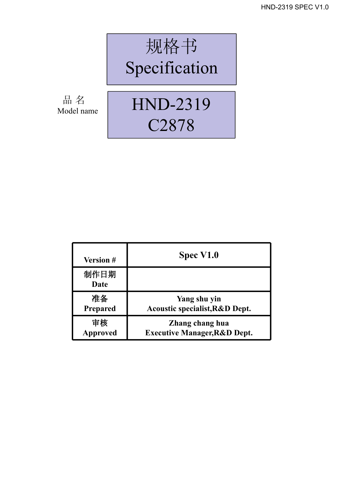

Model name

## C2878

| <b>Version #</b> | Spec V1.0                                 |
|------------------|-------------------------------------------|
| 制作日期<br>Date     |                                           |
| 准备               | Yang shu yin                              |
| Prepared         | <b>Acoustic specialist, R&amp;D Dept.</b> |
| 审核               | Zhang chang hua                           |
| <b>Approved</b>  | <b>Executive Manager, R&amp;D Dept.</b>   |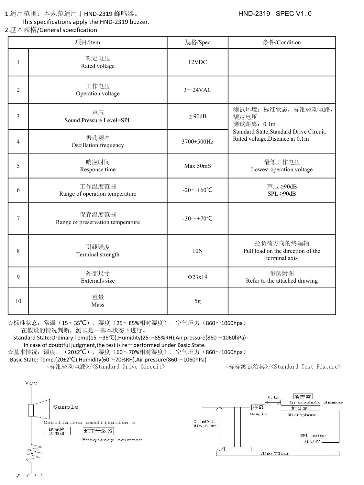1.适用范围: 本规范适用于HND-2319 蜂鸣器。 <br> **HND-2319** SPEC V1..0

This specifications apply the HND-2319 buzzer.

2.基本规格/General specification

| 项目/Item        |                                                                                                     | 规格/Spec          | 条件/Condition                                                                                                            |  |
|----------------|-----------------------------------------------------------------------------------------------------|------------------|-------------------------------------------------------------------------------------------------------------------------|--|
|                | 额定电压<br>Rated voltage                                                                               | 12VDC            |                                                                                                                         |  |
| $\overline{2}$ | 工作电压<br>Operation voltage                                                                           | $3\sim$ 24VAC    |                                                                                                                         |  |
| 3              | 声压<br>Sound Pressure Level=SPL                                                                      | $\geq$ 90dB      | 测试环境: 标准状态, 标准驱动电路,<br>额定电压<br>测试距离: 0.1m<br>Standard State, Standard Drive Circuit.<br>Rated voltage, Distance at 0.1m |  |
| $\overline{4}$ | 振荡频率<br>Oscillation frequency                                                                       | 3700±500Hz       |                                                                                                                         |  |
| 5              | 响应时间<br>Response time                                                                               | Max 50mS         | 最低工作电压<br>Lowest operation voltage                                                                                      |  |
| 6              | 工作温度范围<br>Range of operation temperature                                                            | -20 $\sim$ +60°C | 声压 ≥90dB<br>$SPL \geq 90dB$                                                                                             |  |
| 7              | 保存温度范围<br>Range of preservation temperature                                                         | -30 $\sim$ +70°C |                                                                                                                         |  |
| $\,8\,$        | 拉负荷方向的终端轴<br>引线强度<br>Pull load on the direction of the<br>10N<br>Terminal strength<br>terminal axis |                  |                                                                                                                         |  |
| 9              | 外部尺寸<br>Externals size                                                                              | $\Phi$ 23x19     | 参阅附图<br>Refer to the attached drawing                                                                                   |  |
| $10\,$         | 重量<br>Mass                                                                                          | 5g               |                                                                                                                         |  |

☆标准状态:常温(15~35℃),湿度(25~85%相对湿度),空气压力(860~1060hpa) 在假设的情况判断,测试是-基本状态下进行。

Standard State:Ordinary Temp(15~35°C),Humidity(25~85%RH),Air pressure(860~1060hPa) In case of doubtful judgment, the test is re $-p$ erformed under Basic State.

☆基本情况:温度。(20±2℃),湿度(60~70%相对湿度),空气压力(860~1060hpa) Basic State: Temp.(20±2℃),Humidity(60~70%RH),Air pressure(860~1060hPa)

<标准驱动电路>/<Standard Drive Circuit> <标标测试治具>/<Standard Test Fixture>

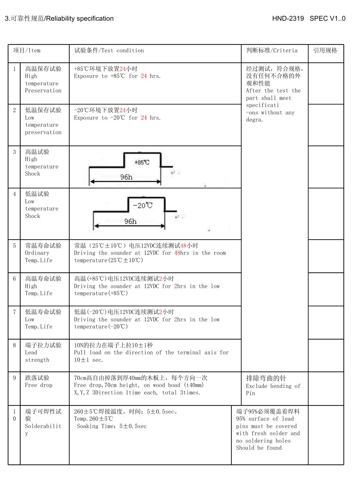| 项目/Item                                |                                       | 试验条件/Test condition                                                                                                                             | 判断标准/Criteria                                                                                                                 | 引用规格 |
|----------------------------------------|---------------------------------------|-------------------------------------------------------------------------------------------------------------------------------------------------|-------------------------------------------------------------------------------------------------------------------------------|------|
| -1<br>High                             | 高温保存试验<br>temperature<br>Preservation | +85℃环境下放置24小时<br>Exposure to +85℃ for 24 hrs.                                                                                                   | 经过测试, 符合规格,<br>没有任何不合格的外<br>观和性能<br>After the test the<br>part shall meet                                                     |      |
| $\sqrt{2}$<br>Low                      | 低温保存试验<br>temperature<br>preservation | -20℃环境下放置24小时<br>Exposure to $-20^{\circ}$ for 24 hrs.                                                                                          | specificati<br>-ons without any<br>degra.                                                                                     |      |
| $\mathbf{3}$<br>高温试验<br>High<br>Shock  | temperature                           | +85℃<br>$\overline{v}$ .<br>96h                                                                                                                 |                                                                                                                               |      |
| 低温试验<br>$\overline{4}$<br>Low<br>Shock | temperature                           | $-20^{\circ}\mathrm{C}$<br>$+$ .<br>96h                                                                                                         |                                                                                                                               |      |
| $\overline{5}$<br>Ordinary             | 常温寿命试验<br>Temp. Life                  | 常温 (25℃±10℃) 电压12VDC连续测试48小时<br>Driving the sounder at 12VDC for 48hrs in the room<br>temperature $(25^{\circ}\text{C} \pm 10^{\circ}\text{C})$ |                                                                                                                               |      |
| $6\,$<br>High                          | 高温寿命试验<br>Temp. Life                  | 高温(+85℃)电压12VDC连续测试2小时<br>Driving the sounder at 12VDC for 2hrs in the low<br>temperature (+85℃)                                                |                                                                                                                               |      |
| $7\overline{ }$<br>Low                 | 低温寿命试验<br>Temp. Life                  | 低温(-20℃)电压12VDC连续测试2小时<br>Driving the sounder at 12VDC for 2hrs in the low<br>temperature $(-20^{\circ}\text{C})$                               |                                                                                                                               |      |
| 8<br>Lead<br>strength                  | 端子拉力试验                                | 10N的拉力在端子上拉10±1秒<br>Pull load on the direction of the terminal axis for<br>$10 \pm 1$ sec.                                                      |                                                                                                                               |      |
| 跌落试验<br>9                              | Free drop                             | 70cm高自由掉落到厚40mm的木板上, 每个方向一次<br>Free drop, 70cm height, on wood boad (t40mm)<br>X, Y, Z 3Direction 1time each, total 3times.                     | 排除弯曲的针<br>Exclude bending of<br>Pin                                                                                           |      |
| -1<br>$\overline{0}$<br>验<br>y         | 端子可焊性试<br>Solderabilit                | 260±5℃焊接温度。时间: 5±0.5sec。<br>Temp. $260 \pm 5^{\circ}$ C<br>Soaking Time: $5 \pm 0.5$ sec                                                        | 端子95%必须覆盖着焊料<br>95% surface of lead<br>pins must be covered<br>with fresh solder and<br>no soldering holes<br>Should be found |      |